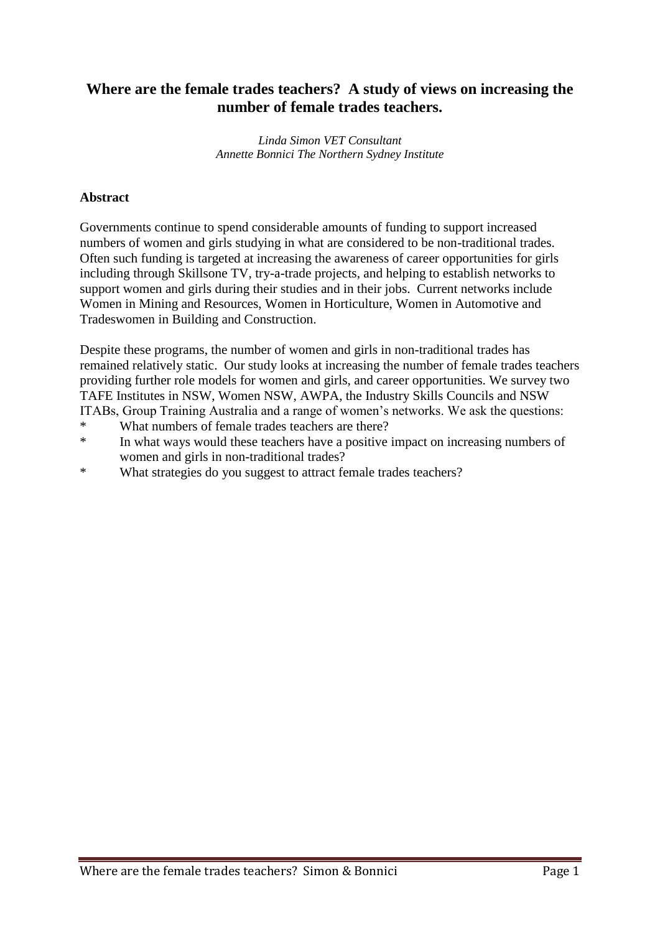# **Where are the female trades teachers? A study of views on increasing the number of female trades teachers.**

*Linda Simon VET Consultant Annette Bonnici The Northern Sydney Institute*

### **Abstract**

Governments continue to spend considerable amounts of funding to support increased numbers of women and girls studying in what are considered to be non-traditional trades. Often such funding is targeted at increasing the awareness of career opportunities for girls including through Skillsone TV, try-a-trade projects, and helping to establish networks to support women and girls during their studies and in their jobs. Current networks include Women in Mining and Resources, Women in Horticulture, Women in Automotive and Tradeswomen in Building and Construction.

Despite these programs, the number of women and girls in non-traditional trades has remained relatively static. Our study looks at increasing the number of female trades teachers providing further role models for women and girls, and career opportunities. We survey two TAFE Institutes in NSW, Women NSW, AWPA, the Industry Skills Councils and NSW ITABs, Group Training Australia and a range of women's networks. We ask the questions:

- \* What numbers of female trades teachers are there?
- \* In what ways would these teachers have a positive impact on increasing numbers of women and girls in non-traditional trades?
- \* What strategies do you suggest to attract female trades teachers?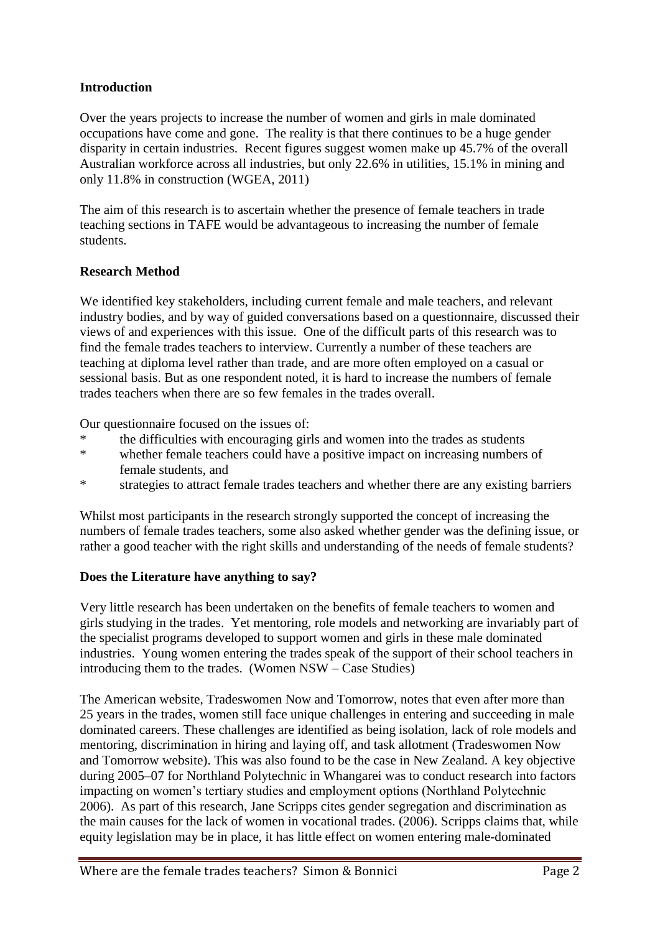## **Introduction**

Over the years projects to increase the number of women and girls in male dominated occupations have come and gone. The reality is that there continues to be a huge gender disparity in certain industries. Recent figures suggest women make up 45.7% of the overall Australian workforce across all industries, but only 22.6% in utilities, 15.1% in mining and only 11.8% in construction (WGEA, 2011)

The aim of this research is to ascertain whether the presence of female teachers in trade teaching sections in TAFE would be advantageous to increasing the number of female students.

## **Research Method**

We identified key stakeholders, including current female and male teachers, and relevant industry bodies, and by way of guided conversations based on a questionnaire, discussed their views of and experiences with this issue. One of the difficult parts of this research was to find the female trades teachers to interview. Currently a number of these teachers are teaching at diploma level rather than trade, and are more often employed on a casual or sessional basis. But as one respondent noted, it is hard to increase the numbers of female trades teachers when there are so few females in the trades overall.

Our questionnaire focused on the issues of:

- \* the difficulties with encouraging girls and women into the trades as students<br>\* whether famely togethers could have a positive impact on increasing numbers
- whether female teachers could have a positive impact on increasing numbers of female students, and
- \* strategies to attract female trades teachers and whether there are any existing barriers

Whilst most participants in the research strongly supported the concept of increasing the numbers of female trades teachers, some also asked whether gender was the defining issue, or rather a good teacher with the right skills and understanding of the needs of female students?

## **Does the Literature have anything to say?**

Very little research has been undertaken on the benefits of female teachers to women and girls studying in the trades. Yet mentoring, role models and networking are invariably part of the specialist programs developed to support women and girls in these male dominated industries. Young women entering the trades speak of the support of their school teachers in introducing them to the trades. (Women NSW – Case Studies)

The American website, Tradeswomen Now and Tomorrow, notes that even after more than 25 years in the trades, women still face unique challenges in entering and succeeding in male dominated careers. These challenges are identified as being isolation, lack of role models and mentoring, discrimination in hiring and laying off, and task allotment (Tradeswomen Now and Tomorrow website). This was also found to be the case in New Zealand. A key objective during 2005–07 for Northland Polytechnic in Whangarei was to conduct research into factors impacting on women's tertiary studies and employment options (Northland Polytechnic 2006). As part of this research, Jane Scripps cites gender segregation and discrimination as the main causes for the lack of women in vocational trades. (2006). Scripps claims that, while equity legislation may be in place, it has little effect on women entering male-dominated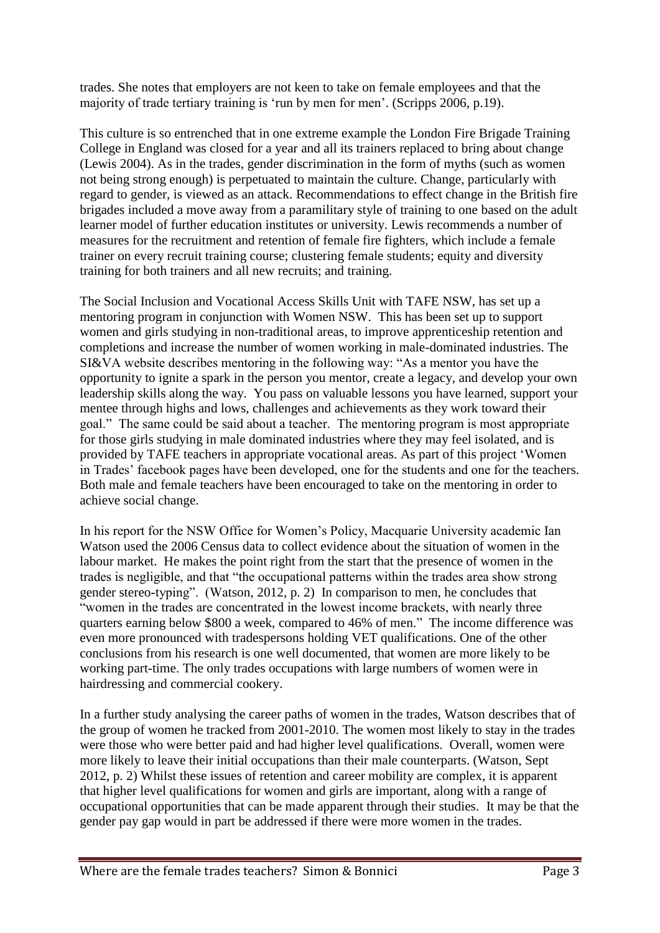trades. She notes that employers are not keen to take on female employees and that the majority of trade tertiary training is 'run by men for men'. (Scripps 2006, p.19).

This culture is so entrenched that in one extreme example the London Fire Brigade Training College in England was closed for a year and all its trainers replaced to bring about change (Lewis 2004). As in the trades, gender discrimination in the form of myths (such as women not being strong enough) is perpetuated to maintain the culture. Change, particularly with regard to gender, is viewed as an attack. Recommendations to effect change in the British fire brigades included a move away from a paramilitary style of training to one based on the adult learner model of further education institutes or university. Lewis recommends a number of measures for the recruitment and retention of female fire fighters, which include a female trainer on every recruit training course; clustering female students; equity and diversity training for both trainers and all new recruits; and training.

The Social Inclusion and Vocational Access Skills Unit with TAFE NSW, has set up a mentoring program in conjunction with Women NSW. This has been set up to support women and girls studying in non-traditional areas, to improve apprenticeship retention and completions and increase the number of women working in male-dominated industries. The SI&VA website describes mentoring in the following way: "As a mentor you have the opportunity to ignite a spark in the person you mentor, create a legacy, and develop your own leadership skills along the way. You pass on valuable lessons you have learned, support your mentee through highs and lows, challenges and achievements as they work toward their goal." The same could be said about a teacher. The mentoring program is most appropriate for those girls studying in male dominated industries where they may feel isolated, and is provided by TAFE teachers in appropriate vocational areas. As part of this project 'Women in Trades' facebook pages have been developed, one for the students and one for the teachers. Both male and female teachers have been encouraged to take on the mentoring in order to achieve social change.

In his report for the NSW Office for Women's Policy, Macquarie University academic Ian Watson used the 2006 Census data to collect evidence about the situation of women in the labour market. He makes the point right from the start that the presence of women in the trades is negligible, and that "the occupational patterns within the trades area show strong gender stereo-typing". (Watson, 2012, p. 2) In comparison to men, he concludes that "women in the trades are concentrated in the lowest income brackets, with nearly three quarters earning below \$800 a week, compared to 46% of men." The income difference was even more pronounced with tradespersons holding VET qualifications. One of the other conclusions from his research is one well documented, that women are more likely to be working part-time. The only trades occupations with large numbers of women were in hairdressing and commercial cookery.

In a further study analysing the career paths of women in the trades, Watson describes that of the group of women he tracked from 2001-2010. The women most likely to stay in the trades were those who were better paid and had higher level qualifications. Overall, women were more likely to leave their initial occupations than their male counterparts. (Watson, Sept 2012, p. 2) Whilst these issues of retention and career mobility are complex, it is apparent that higher level qualifications for women and girls are important, along with a range of occupational opportunities that can be made apparent through their studies. It may be that the gender pay gap would in part be addressed if there were more women in the trades.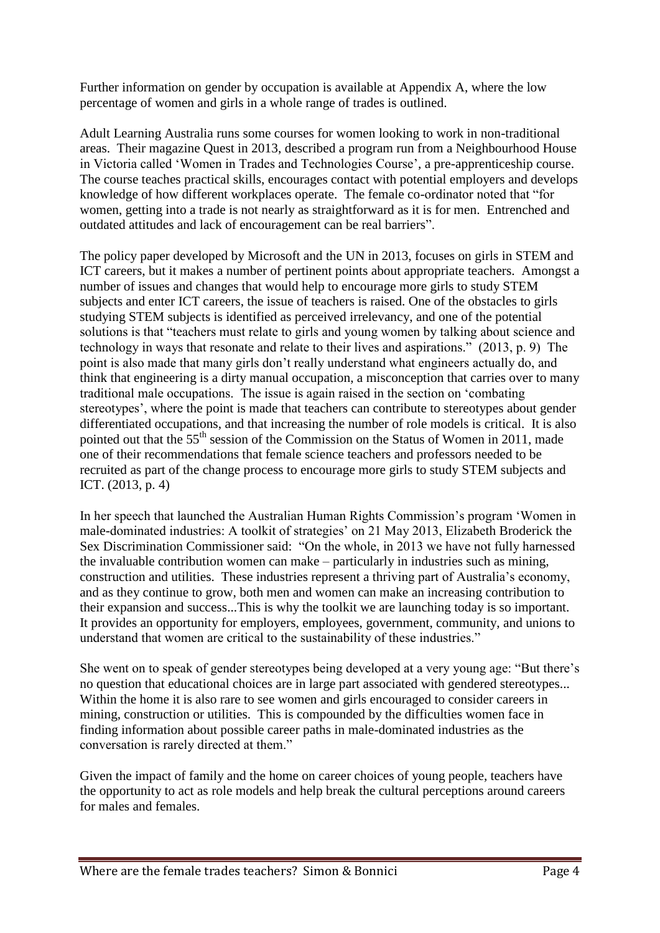Further information on gender by occupation is available at Appendix A, where the low percentage of women and girls in a whole range of trades is outlined.

Adult Learning Australia runs some courses for women looking to work in non-traditional areas. Their magazine Quest in 2013, described a program run from a Neighbourhood House in Victoria called 'Women in Trades and Technologies Course', a pre-apprenticeship course. The course teaches practical skills, encourages contact with potential employers and develops knowledge of how different workplaces operate. The female co-ordinator noted that "for women, getting into a trade is not nearly as straightforward as it is for men. Entrenched and outdated attitudes and lack of encouragement can be real barriers".

The policy paper developed by Microsoft and the UN in 2013, focuses on girls in STEM and ICT careers, but it makes a number of pertinent points about appropriate teachers. Amongst a number of issues and changes that would help to encourage more girls to study STEM subjects and enter ICT careers, the issue of teachers is raised. One of the obstacles to girls studying STEM subjects is identified as perceived irrelevancy, and one of the potential solutions is that "teachers must relate to girls and young women by talking about science and technology in ways that resonate and relate to their lives and aspirations." (2013, p. 9) The point is also made that many girls don't really understand what engineers actually do, and think that engineering is a dirty manual occupation, a misconception that carries over to many traditional male occupations. The issue is again raised in the section on 'combating stereotypes', where the point is made that teachers can contribute to stereotypes about gender differentiated occupations, and that increasing the number of role models is critical. It is also pointed out that the 55<sup>th</sup> session of the Commission on the Status of Women in 2011, made one of their recommendations that female science teachers and professors needed to be recruited as part of the change process to encourage more girls to study STEM subjects and ICT. (2013, p. 4)

In her speech that launched the Australian Human Rights Commission's program 'Women in male-dominated industries: A toolkit of strategies' on 21 May 2013, Elizabeth Broderick the Sex Discrimination Commissioner said: "On the whole, in 2013 we have not fully harnessed the invaluable contribution women can make – particularly in industries such as mining, construction and utilities. These industries represent a thriving part of Australia's economy, and as they continue to grow, both men and women can make an increasing contribution to their expansion and success...This is why the toolkit we are launching today is so important. It provides an opportunity for employers, employees, government, community, and unions to understand that women are critical to the sustainability of these industries."

She went on to speak of gender stereotypes being developed at a very young age: "But there's no question that educational choices are in large part associated with gendered stereotypes... Within the home it is also rare to see women and girls encouraged to consider careers in mining, construction or utilities. This is compounded by the difficulties women face in finding information about possible career paths in male-dominated industries as the conversation is rarely directed at them."

Given the impact of family and the home on career choices of young people, teachers have the opportunity to act as role models and help break the cultural perceptions around careers for males and females.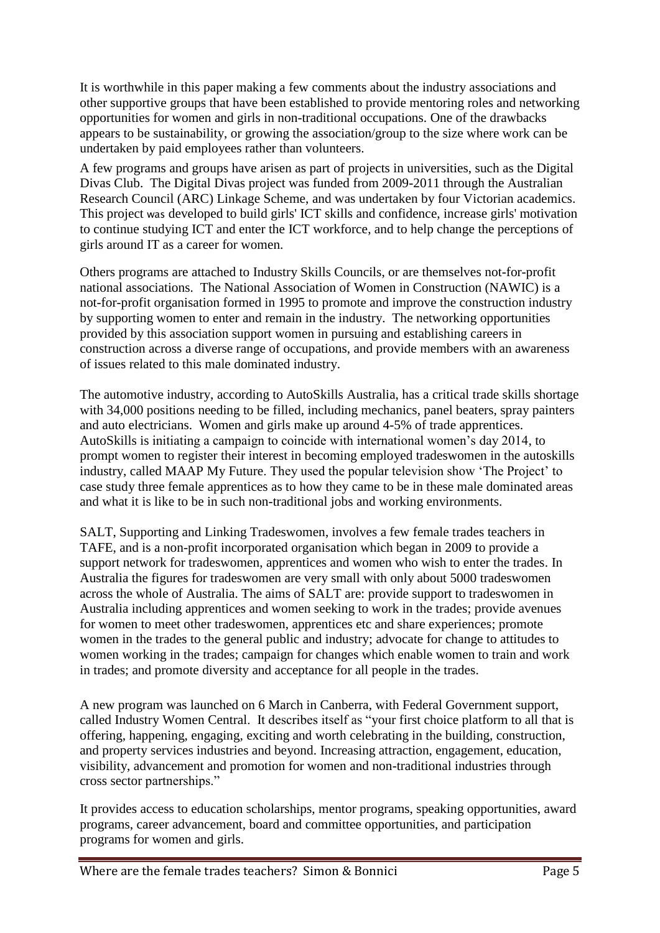It is worthwhile in this paper making a few comments about the industry associations and other supportive groups that have been established to provide mentoring roles and networking opportunities for women and girls in non-traditional occupations. One of the drawbacks appears to be sustainability, or growing the association/group to the size where work can be undertaken by paid employees rather than volunteers.

A few programs and groups have arisen as part of projects in universities, such as the Digital Divas Club. The Digital Divas project was funded from 2009-2011 through the Australian Research Council (ARC) Linkage Scheme, and was undertaken by four Victorian academics. This project was developed to build girls' ICT skills and confidence, increase girls' motivation to continue studying ICT and enter the ICT workforce, and to help change the perceptions of girls around IT as a career for women.

Others programs are attached to Industry Skills Councils, or are themselves not-for-profit national associations. The National Association of Women in Construction (NAWIC) is a not-for-profit organisation formed in 1995 to promote and improve the construction industry by supporting women to enter and remain in the industry. The networking opportunities provided by this association support women in pursuing and establishing careers in construction across a diverse range of occupations, and provide members with an awareness of issues related to this male dominated industry.

The automotive industry, according to AutoSkills Australia, has a critical trade skills shortage with 34,000 positions needing to be filled, including mechanics, panel beaters, spray painters and auto electricians. Women and girls make up around 4-5% of trade apprentices. AutoSkills is initiating a campaign to coincide with international women's day 2014, to prompt women to register their interest in becoming employed tradeswomen in the autoskills industry, called MAAP My Future. They used the popular television show 'The Project' to case study three female apprentices as to how they came to be in these male dominated areas and what it is like to be in such non-traditional jobs and working environments.

SALT, Supporting and Linking Tradeswomen, involves a few female trades teachers in TAFE, and is a non-profit incorporated organisation which began in 2009 to provide a support network for tradeswomen, apprentices and women who wish to enter the trades. In Australia the figures for tradeswomen are very small with only about 5000 tradeswomen across the whole of Australia. The aims of SALT are: provide support to tradeswomen in Australia including apprentices and women seeking to work in the trades; provide avenues for women to meet other tradeswomen, apprentices etc and share experiences; promote women in the trades to the general public and industry; advocate for change to attitudes to women working in the trades; campaign for changes which enable women to train and work in trades; and promote diversity and acceptance for all people in the trades.

A new program was launched on 6 March in Canberra, with Federal Government support, called Industry Women Central. It describes itself as "your first choice platform to all that is offering, happening, engaging, exciting and worth celebrating in the building, construction, and property services industries and beyond. Increasing attraction, engagement, education, visibility, advancement and promotion for women and non-traditional industries through cross sector partnerships."

It provides access to education scholarships, mentor programs, speaking opportunities, award programs, career advancement, board and committee opportunities, and participation programs for women and girls.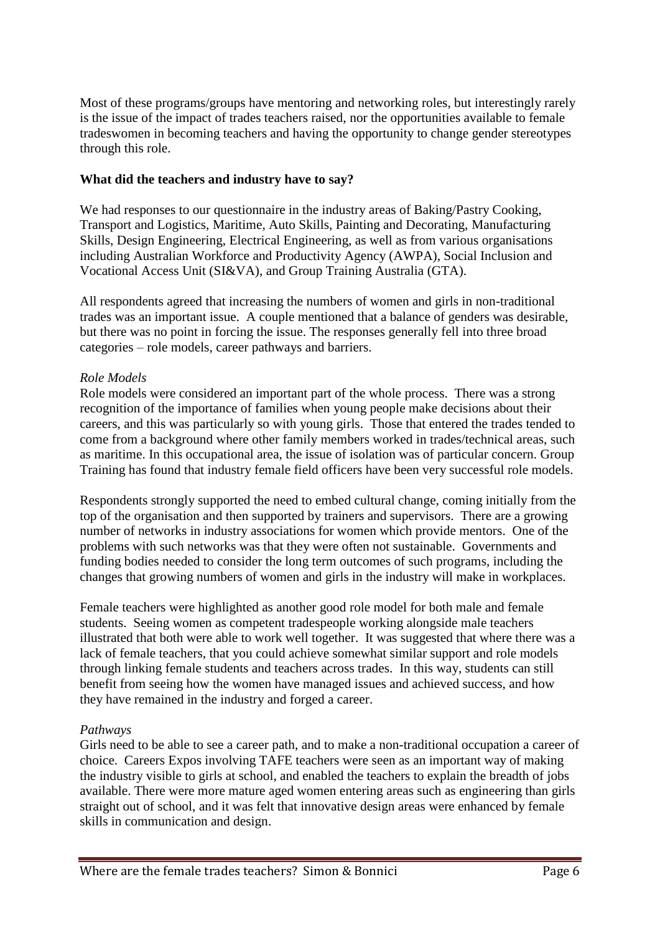Most of these programs/groups have mentoring and networking roles, but interestingly rarely is the issue of the impact of trades teachers raised, nor the opportunities available to female tradeswomen in becoming teachers and having the opportunity to change gender stereotypes through this role.

### **What did the teachers and industry have to say?**

We had responses to our questionnaire in the industry areas of Baking/Pastry Cooking, Transport and Logistics, Maritime, Auto Skills, Painting and Decorating, Manufacturing Skills, Design Engineering, Electrical Engineering, as well as from various organisations including Australian Workforce and Productivity Agency (AWPA), Social Inclusion and Vocational Access Unit (SI&VA), and Group Training Australia (GTA).

All respondents agreed that increasing the numbers of women and girls in non-traditional trades was an important issue. A couple mentioned that a balance of genders was desirable, but there was no point in forcing the issue. The responses generally fell into three broad categories – role models, career pathways and barriers.

### *Role Models*

Role models were considered an important part of the whole process. There was a strong recognition of the importance of families when young people make decisions about their careers, and this was particularly so with young girls. Those that entered the trades tended to come from a background where other family members worked in trades/technical areas, such as maritime. In this occupational area, the issue of isolation was of particular concern. Group Training has found that industry female field officers have been very successful role models.

Respondents strongly supported the need to embed cultural change, coming initially from the top of the organisation and then supported by trainers and supervisors. There are a growing number of networks in industry associations for women which provide mentors. One of the problems with such networks was that they were often not sustainable. Governments and funding bodies needed to consider the long term outcomes of such programs, including the changes that growing numbers of women and girls in the industry will make in workplaces.

Female teachers were highlighted as another good role model for both male and female students. Seeing women as competent tradespeople working alongside male teachers illustrated that both were able to work well together. It was suggested that where there was a lack of female teachers, that you could achieve somewhat similar support and role models through linking female students and teachers across trades. In this way, students can still benefit from seeing how the women have managed issues and achieved success, and how they have remained in the industry and forged a career.

#### *Pathways*

Girls need to be able to see a career path, and to make a non-traditional occupation a career of choice. Careers Expos involving TAFE teachers were seen as an important way of making the industry visible to girls at school, and enabled the teachers to explain the breadth of jobs available. There were more mature aged women entering areas such as engineering than girls straight out of school, and it was felt that innovative design areas were enhanced by female skills in communication and design.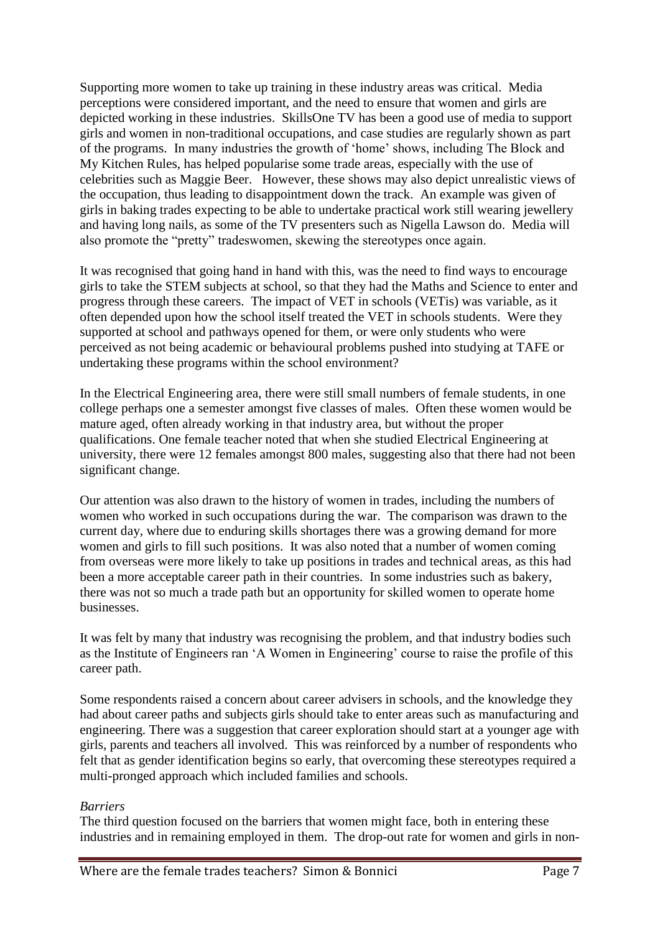Supporting more women to take up training in these industry areas was critical. Media perceptions were considered important, and the need to ensure that women and girls are depicted working in these industries. SkillsOne TV has been a good use of media to support girls and women in non-traditional occupations, and case studies are regularly shown as part of the programs. In many industries the growth of 'home' shows, including The Block and My Kitchen Rules, has helped popularise some trade areas, especially with the use of celebrities such as Maggie Beer. However, these shows may also depict unrealistic views of the occupation, thus leading to disappointment down the track. An example was given of girls in baking trades expecting to be able to undertake practical work still wearing jewellery and having long nails, as some of the TV presenters such as Nigella Lawson do. Media will also promote the "pretty" tradeswomen, skewing the stereotypes once again.

It was recognised that going hand in hand with this, was the need to find ways to encourage girls to take the STEM subjects at school, so that they had the Maths and Science to enter and progress through these careers. The impact of VET in schools (VETis) was variable, as it often depended upon how the school itself treated the VET in schools students. Were they supported at school and pathways opened for them, or were only students who were perceived as not being academic or behavioural problems pushed into studying at TAFE or undertaking these programs within the school environment?

In the Electrical Engineering area, there were still small numbers of female students, in one college perhaps one a semester amongst five classes of males. Often these women would be mature aged, often already working in that industry area, but without the proper qualifications. One female teacher noted that when she studied Electrical Engineering at university, there were 12 females amongst 800 males, suggesting also that there had not been significant change.

Our attention was also drawn to the history of women in trades, including the numbers of women who worked in such occupations during the war. The comparison was drawn to the current day, where due to enduring skills shortages there was a growing demand for more women and girls to fill such positions. It was also noted that a number of women coming from overseas were more likely to take up positions in trades and technical areas, as this had been a more acceptable career path in their countries. In some industries such as bakery, there was not so much a trade path but an opportunity for skilled women to operate home businesses.

It was felt by many that industry was recognising the problem, and that industry bodies such as the Institute of Engineers ran 'A Women in Engineering' course to raise the profile of this career path.

Some respondents raised a concern about career advisers in schools, and the knowledge they had about career paths and subjects girls should take to enter areas such as manufacturing and engineering. There was a suggestion that career exploration should start at a younger age with girls, parents and teachers all involved. This was reinforced by a number of respondents who felt that as gender identification begins so early, that overcoming these stereotypes required a multi-pronged approach which included families and schools.

#### *Barriers*

The third question focused on the barriers that women might face, both in entering these industries and in remaining employed in them. The drop-out rate for women and girls in non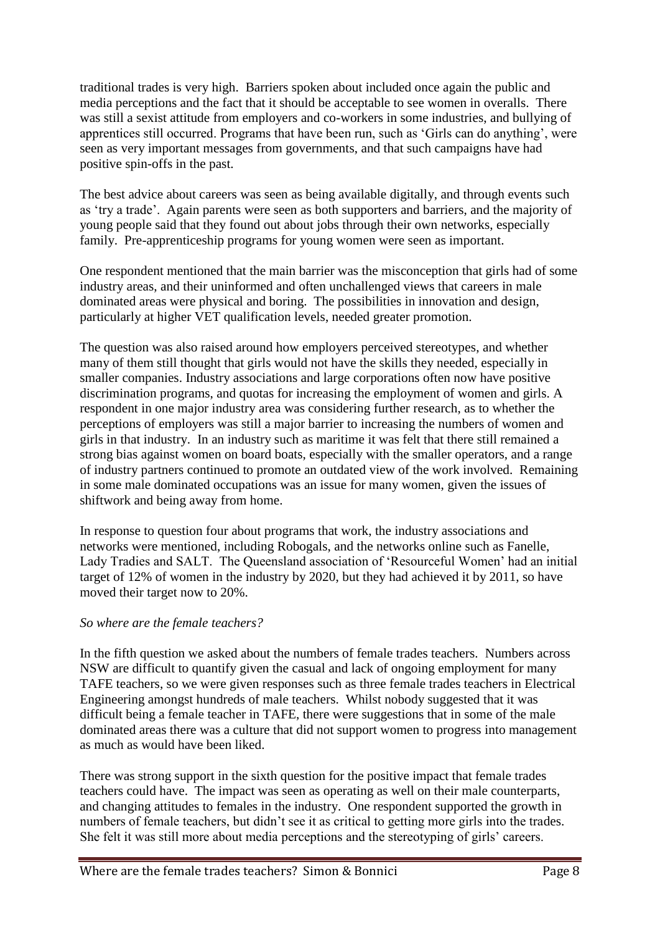traditional trades is very high. Barriers spoken about included once again the public and media perceptions and the fact that it should be acceptable to see women in overalls. There was still a sexist attitude from employers and co-workers in some industries, and bullying of apprentices still occurred. Programs that have been run, such as 'Girls can do anything', were seen as very important messages from governments, and that such campaigns have had positive spin-offs in the past.

The best advice about careers was seen as being available digitally, and through events such as 'try a trade'. Again parents were seen as both supporters and barriers, and the majority of young people said that they found out about jobs through their own networks, especially family. Pre-apprenticeship programs for young women were seen as important.

One respondent mentioned that the main barrier was the misconception that girls had of some industry areas, and their uninformed and often unchallenged views that careers in male dominated areas were physical and boring. The possibilities in innovation and design, particularly at higher VET qualification levels, needed greater promotion.

The question was also raised around how employers perceived stereotypes, and whether many of them still thought that girls would not have the skills they needed, especially in smaller companies. Industry associations and large corporations often now have positive discrimination programs, and quotas for increasing the employment of women and girls. A respondent in one major industry area was considering further research, as to whether the perceptions of employers was still a major barrier to increasing the numbers of women and girls in that industry. In an industry such as maritime it was felt that there still remained a strong bias against women on board boats, especially with the smaller operators, and a range of industry partners continued to promote an outdated view of the work involved. Remaining in some male dominated occupations was an issue for many women, given the issues of shiftwork and being away from home.

In response to question four about programs that work, the industry associations and networks were mentioned, including Robogals, and the networks online such as Fanelle, Lady Tradies and SALT. The Queensland association of 'Resourceful Women' had an initial target of 12% of women in the industry by 2020, but they had achieved it by 2011, so have moved their target now to 20%.

## *So where are the female teachers?*

In the fifth question we asked about the numbers of female trades teachers. Numbers across NSW are difficult to quantify given the casual and lack of ongoing employment for many TAFE teachers, so we were given responses such as three female trades teachers in Electrical Engineering amongst hundreds of male teachers. Whilst nobody suggested that it was difficult being a female teacher in TAFE, there were suggestions that in some of the male dominated areas there was a culture that did not support women to progress into management as much as would have been liked.

There was strong support in the sixth question for the positive impact that female trades teachers could have. The impact was seen as operating as well on their male counterparts, and changing attitudes to females in the industry. One respondent supported the growth in numbers of female teachers, but didn't see it as critical to getting more girls into the trades. She felt it was still more about media perceptions and the stereotyping of girls' careers.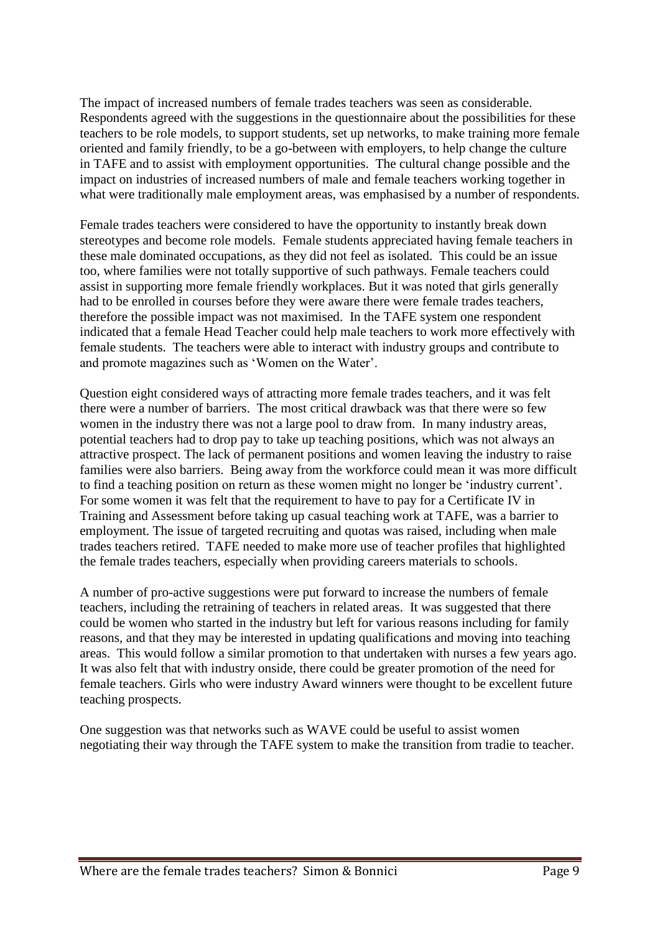The impact of increased numbers of female trades teachers was seen as considerable. Respondents agreed with the suggestions in the questionnaire about the possibilities for these teachers to be role models, to support students, set up networks, to make training more female oriented and family friendly, to be a go-between with employers, to help change the culture in TAFE and to assist with employment opportunities. The cultural change possible and the impact on industries of increased numbers of male and female teachers working together in what were traditionally male employment areas, was emphasised by a number of respondents.

Female trades teachers were considered to have the opportunity to instantly break down stereotypes and become role models. Female students appreciated having female teachers in these male dominated occupations, as they did not feel as isolated. This could be an issue too, where families were not totally supportive of such pathways. Female teachers could assist in supporting more female friendly workplaces. But it was noted that girls generally had to be enrolled in courses before they were aware there were female trades teachers, therefore the possible impact was not maximised. In the TAFE system one respondent indicated that a female Head Teacher could help male teachers to work more effectively with female students. The teachers were able to interact with industry groups and contribute to and promote magazines such as 'Women on the Water'.

Question eight considered ways of attracting more female trades teachers, and it was felt there were a number of barriers. The most critical drawback was that there were so few women in the industry there was not a large pool to draw from. In many industry areas, potential teachers had to drop pay to take up teaching positions, which was not always an attractive prospect. The lack of permanent positions and women leaving the industry to raise families were also barriers. Being away from the workforce could mean it was more difficult to find a teaching position on return as these women might no longer be 'industry current'. For some women it was felt that the requirement to have to pay for a Certificate IV in Training and Assessment before taking up casual teaching work at TAFE, was a barrier to employment. The issue of targeted recruiting and quotas was raised, including when male trades teachers retired. TAFE needed to make more use of teacher profiles that highlighted the female trades teachers, especially when providing careers materials to schools.

A number of pro-active suggestions were put forward to increase the numbers of female teachers, including the retraining of teachers in related areas. It was suggested that there could be women who started in the industry but left for various reasons including for family reasons, and that they may be interested in updating qualifications and moving into teaching areas. This would follow a similar promotion to that undertaken with nurses a few years ago. It was also felt that with industry onside, there could be greater promotion of the need for female teachers. Girls who were industry Award winners were thought to be excellent future teaching prospects.

One suggestion was that networks such as WAVE could be useful to assist women negotiating their way through the TAFE system to make the transition from tradie to teacher.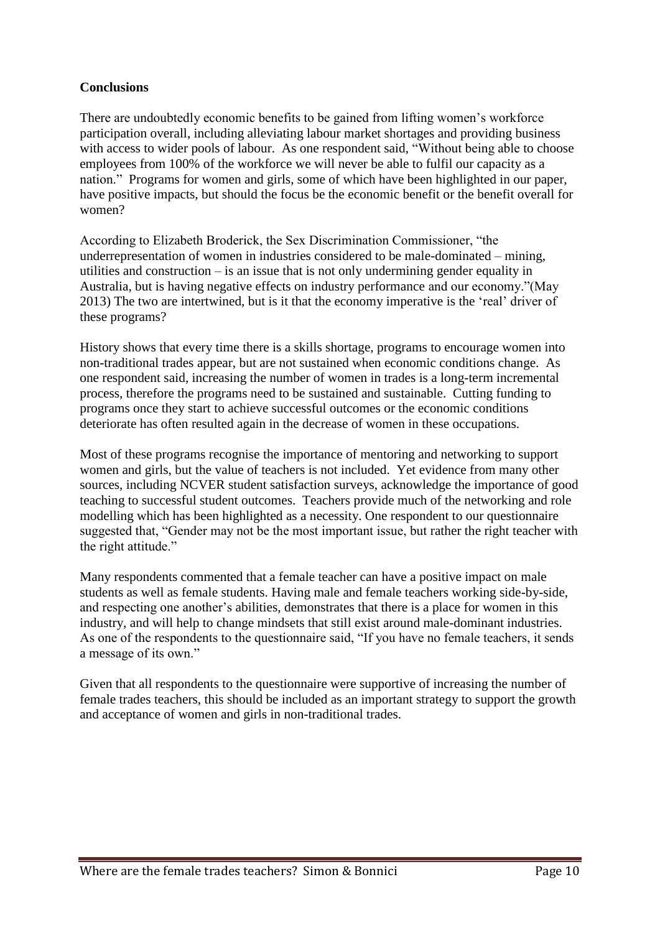## **Conclusions**

There are undoubtedly economic benefits to be gained from lifting women's workforce participation overall, including alleviating labour market shortages and providing business with access to wider pools of labour. As one respondent said, "Without being able to choose employees from 100% of the workforce we will never be able to fulfil our capacity as a nation." Programs for women and girls, some of which have been highlighted in our paper, have positive impacts, but should the focus be the economic benefit or the benefit overall for women?

According to Elizabeth Broderick, the Sex Discrimination Commissioner, "the underrepresentation of women in industries considered to be male-dominated – mining, utilities and construction – is an issue that is not only undermining gender equality in Australia, but is having negative effects on industry performance and our economy."(May 2013) The two are intertwined, but is it that the economy imperative is the 'real' driver of these programs?

History shows that every time there is a skills shortage, programs to encourage women into non-traditional trades appear, but are not sustained when economic conditions change. As one respondent said, increasing the number of women in trades is a long-term incremental process, therefore the programs need to be sustained and sustainable. Cutting funding to programs once they start to achieve successful outcomes or the economic conditions deteriorate has often resulted again in the decrease of women in these occupations.

Most of these programs recognise the importance of mentoring and networking to support women and girls, but the value of teachers is not included. Yet evidence from many other sources, including NCVER student satisfaction surveys, acknowledge the importance of good teaching to successful student outcomes. Teachers provide much of the networking and role modelling which has been highlighted as a necessity. One respondent to our questionnaire suggested that, "Gender may not be the most important issue, but rather the right teacher with the right attitude."

Many respondents commented that a female teacher can have a positive impact on male students as well as female students. Having male and female teachers working side-by-side, and respecting one another's abilities, demonstrates that there is a place for women in this industry, and will help to change mindsets that still exist around male-dominant industries. As one of the respondents to the questionnaire said, "If you have no female teachers, it sends a message of its own."

Given that all respondents to the questionnaire were supportive of increasing the number of female trades teachers, this should be included as an important strategy to support the growth and acceptance of women and girls in non-traditional trades.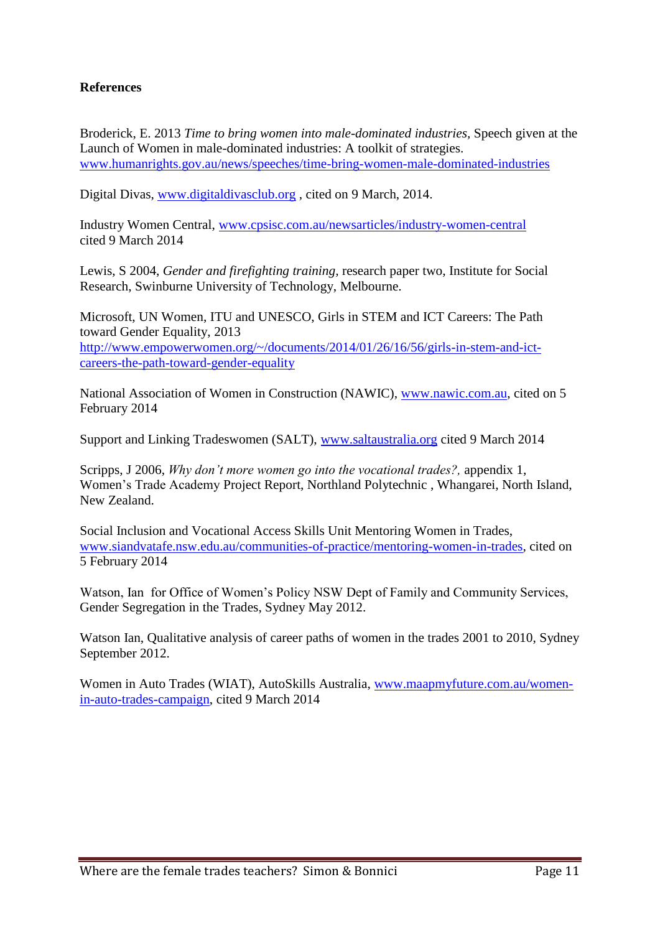## **References**

Broderick, E. 2013 *Time to bring women into male-dominated industries,* Speech given at the Launch of Women in male-dominated industries: A toolkit of strategies. [www.humanrights.gov.au/news/speeches/time-bring-women-male-dominated-industries](http://www.humanrights.gov.au/news/speeches/time-bring-women-male-dominated-industries)

Digital Divas, [www.digitaldivasclub.org](http://www.digitaldivasclub.org/) , cited on 9 March, 2014.

Industry Women Central, [www.cpsisc.com.au/newsarticles/industry-women-central](http://www.cpsisc.com.au/newsarticles/industry-women-central) cited 9 March 2014

Lewis, S 2004, *Gender and firefighting training,* research paper two, Institute for Social Research, Swinburne University of Technology, Melbourne.

Microsoft, UN Women, ITU and UNESCO, Girls in STEM and ICT Careers: The Path toward Gender Equality, 2013 [http://www.empowerwomen.org/~/documents/2014/01/26/16/56/girls-in-stem-and-ict](http://www.empowerwomen.org/~/documents/2014/01/26/16/56/girls-in-stem-and-ict-careers-the-path-toward-gender-equality)[careers-the-path-toward-gender-equality](http://www.empowerwomen.org/~/documents/2014/01/26/16/56/girls-in-stem-and-ict-careers-the-path-toward-gender-equality)

National Association of Women in Construction (NAWIC), [www.nawic.com.au,](http://www.nawic.com.au/) cited on 5 February 2014

Support and Linking Tradeswomen (SALT), [www.saltaustralia.org](http://www.saltaustralia.org/) cited 9 March 2014

Scripps, J 2006, *Why don't more women go into the vocational trades?,* appendix 1, Women's Trade Academy Project Report, Northland Polytechnic , Whangarei, North Island, New Zealand.

Social Inclusion and Vocational Access Skills Unit Mentoring Women in Trades, [www.siandvatafe.nsw.edu.au/communities-of-practice/mentoring-women-in-trades,](http://www.siandvatafe.nsw.edu.au/communities-of-practice/mentoring-women-in-trades) cited on 5 February 2014

Watson, Ian for Office of Women's Policy NSW Dept of Family and Community Services, Gender Segregation in the Trades, Sydney May 2012.

Watson Ian, Qualitative analysis of career paths of women in the trades 2001 to 2010, Sydney September 2012.

Women in Auto Trades (WIAT), AutoSkills Australia, [www.maapmyfuture.com.au/women](http://www.maapmyfuture.com.au/women-in-auto-trades-campaign)[in-auto-trades-campaign,](http://www.maapmyfuture.com.au/women-in-auto-trades-campaign) cited 9 March 2014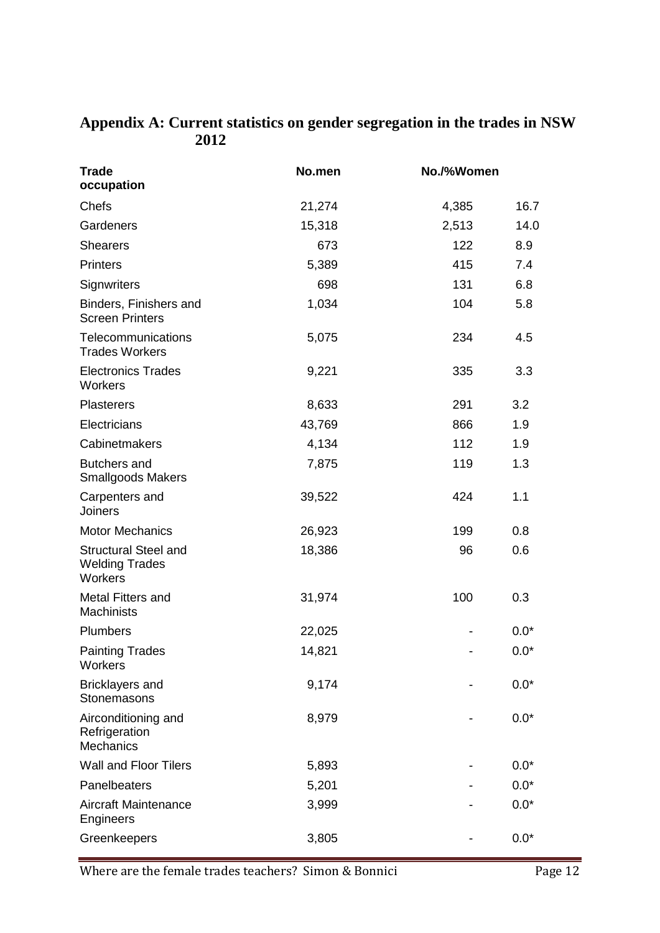# **Appendix A: Current statistics on gender segregation in the trades in NSW 2012**

| <b>Trade</b><br>occupation                                      | No.men | No./%Women |        |
|-----------------------------------------------------------------|--------|------------|--------|
| Chefs                                                           | 21,274 | 4,385      | 16.7   |
| Gardeners                                                       | 15,318 | 2,513      | 14.0   |
| <b>Shearers</b>                                                 | 673    | 122        | 8.9    |
| Printers                                                        | 5,389  | 415        | 7.4    |
| Signwriters                                                     | 698    | 131        | 6.8    |
| Binders, Finishers and<br><b>Screen Printers</b>                | 1,034  | 104        | 5.8    |
| Telecommunications<br><b>Trades Workers</b>                     | 5,075  | 234        | 4.5    |
| <b>Electronics Trades</b><br>Workers                            | 9,221  | 335        | 3.3    |
| <b>Plasterers</b>                                               | 8,633  | 291        | 3.2    |
| Electricians                                                    | 43,769 | 866        | 1.9    |
| Cabinetmakers                                                   | 4,134  | 112        | 1.9    |
| <b>Butchers and</b><br><b>Smallgoods Makers</b>                 | 7,875  | 119        | 1.3    |
| Carpenters and<br><b>Joiners</b>                                | 39,522 | 424        | 1.1    |
| <b>Motor Mechanics</b>                                          | 26,923 | 199        | 0.8    |
| <b>Structural Steel and</b><br><b>Welding Trades</b><br>Workers | 18,386 | 96         | 0.6    |
| <b>Metal Fitters and</b><br><b>Machinists</b>                   | 31,974 | 100        | 0.3    |
| Plumbers                                                        | 22,025 |            | $0.0*$ |
| <b>Painting Trades</b><br>Workers                               | 14,821 |            | $0.0*$ |
| <b>Bricklayers and</b><br>Stonemasons                           | 9,174  |            | $0.0*$ |
| Airconditioning and<br>Refrigeration<br><b>Mechanics</b>        | 8,979  |            | $0.0*$ |
| <b>Wall and Floor Tilers</b>                                    | 5,893  |            | $0.0*$ |
| Panelbeaters                                                    | 5,201  |            | $0.0*$ |
| <b>Aircraft Maintenance</b><br>Engineers                        | 3,999  |            | $0.0*$ |
| Greenkeepers                                                    | 3,805  |            | $0.0*$ |

Where are the female trades teachers? Simon & Bonnici Page 12